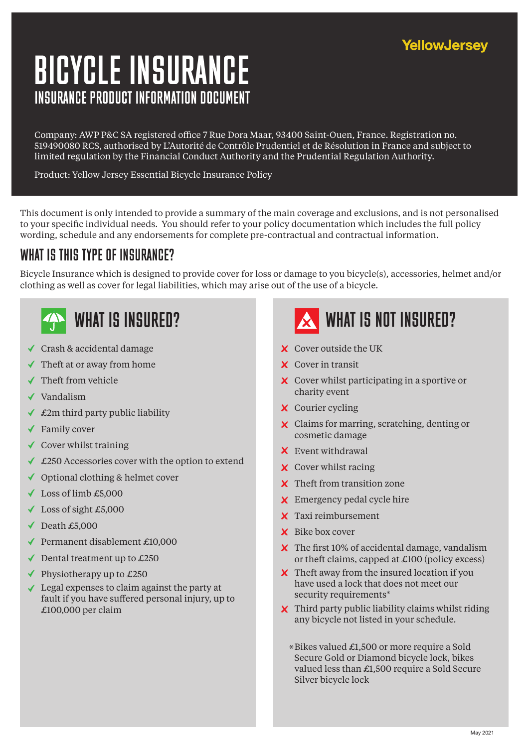### YellowJersey

# INSURANCE PRODUCT INFORMATION DOCUMENT BICYCLE INSURANCE

Company: AWP P&C SA registered office 7 Rue Dora Maar, 93400 Saint-Ouen, France. Registration no. 519490080 RCS, authorised by L'Autorité de Contrôle Prudentiel et de Résolution in France and subject to limited regulation by the Financial Conduct Authority and the Prudential Regulation Authority.

Product: Yellow Jersey Essential Bicycle Insurance Policy

This document is only intended to provide a summary of the main coverage and exclusions, and is not personalised to your specific individual needs. You should refer to your policy documentation which includes the full policy wording, schedule and any endorsements for complete pre-contractual and contractual information.

### WHAT IS THIS TYPE OF INSURANCE?

Bicycle Insurance which is designed to provide cover for loss or damage to you bicycle(s), accessories, helmet and/or clothing as well as cover for legal liabilities, which may arise out of the use of a bicycle.

- Crash & accidental damage
- $\checkmark$  Theft at or away from home
- $\checkmark$  Theft from vehicle
- Vandalism
- $\triangleleft$  £2m third party public liability
- Family cover
- $\checkmark$  Cover whilst training
- ◆ £250 Accessories cover with the option to extend
- $\checkmark$  Optional clothing & helmet cover
- $\checkmark$  Loss of limb £5,000
- $\checkmark$  Loss of sight £5,000
- $\sqrt{\phantom{0}}$  Death £5,000
- Permanent disablement  $£10,000$
- $\triangleleft$  Dental treatment up to £250
- $\blacklozenge$  Physiotherapy up to £250
- Legal expenses to claim against the party at fault if you have suffered personal injury, up to £100,000 per claim

# WHAT IS INSURED? WHAT IS NOT INSURED?

- Cover outside the UK
- **X** Cover in transit
- **x** Cover whilst participating in a sportive or charity event
- **X** Courier cycling
- **X** Claims for marring, scratching, denting or cosmetic damage
- Event withdrawal
- **X** Cover whilst racing
- **X** Theft from transition zone
- **X** Emergency pedal cycle hire
- Taxi reimbursement
- $\boldsymbol{\times}$  Bike box cover
- X The first 10% of accidental damage, vandalism or theft claims, capped at  $\pounds$ 100 (policy excess)
- X Theft away from the insured location if you have used a lock that does not meet our security requirements\*
- $\boldsymbol{\times}$  Third party public liability claims whilst riding any bicycle not listed in your schedule.
	- Bikes valued £1,500 or more require a Sold \*Secure Gold or Diamond bicycle lock, bikes valued less than £1,500 require a Sold Secure Silver bicycle lock